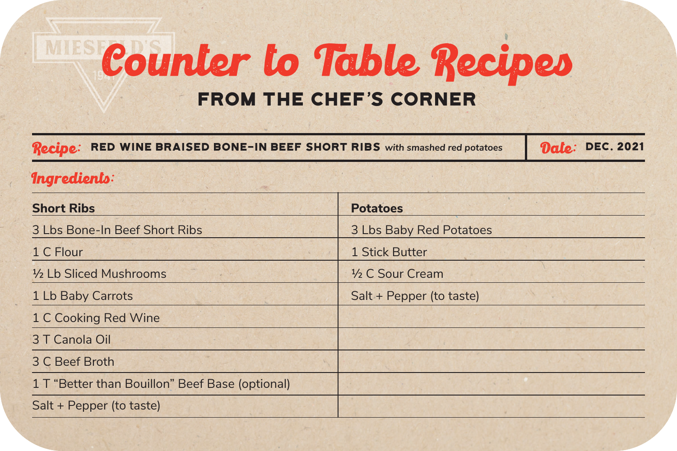## **MILIST Counter to Table Recipes**

## From the Chef's Corner

Recipe: RED WINE BRAISED BONE-IN BEEF SHORT RIBS with smashed red potatoes **Date:** DEC. 2021

## Ingredients:

| <b>Short Ribs</b>                               | <b>Potatoes</b>          |
|-------------------------------------------------|--------------------------|
| 3 Lbs Bone-In Beef Short Ribs                   | 3 Lbs Baby Red Potatoes  |
| 1 C Flour                                       | 1 Stick Butter           |
| 1/2 Lb Sliced Mushrooms                         | 1/2 C Sour Cream         |
| 1 Lb Baby Carrots                               | Salt + Pepper (to taste) |
| 1 C Cooking Red Wine                            |                          |
| 3 T Canola Oil                                  |                          |
| 3 C Beef Broth                                  |                          |
| 1 T "Better than Bouillon" Beef Base (optional) |                          |
| Salt + Pepper (to taste)                        |                          |